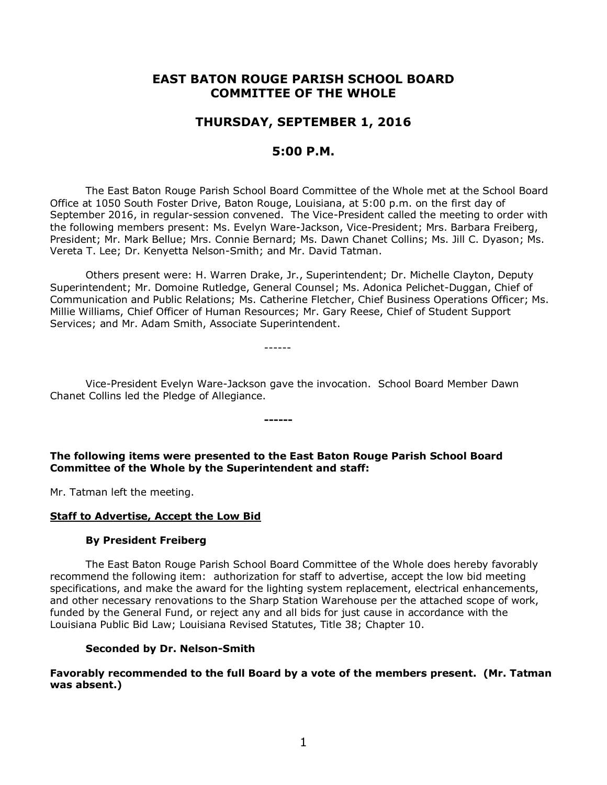# **EAST BATON ROUGE PARISH SCHOOL BOARD COMMITTEE OF THE WHOLE**

# **THURSDAY, SEPTEMBER 1, 2016**

# **5:00 P.M.**

The East Baton Rouge Parish School Board Committee of the Whole met at the School Board Office at 1050 South Foster Drive, Baton Rouge, Louisiana, at 5:00 p.m. on the first day of September 2016, in regular-session convened. The Vice-President called the meeting to order with the following members present: Ms. Evelyn Ware-Jackson, Vice-President; Mrs. Barbara Freiberg, President; Mr. Mark Bellue; Mrs. Connie Bernard; Ms. Dawn Chanet Collins; Ms. Jill C. Dyason; Ms. Vereta T. Lee; Dr. Kenyetta Nelson-Smith; and Mr. David Tatman.

Others present were: H. Warren Drake, Jr., Superintendent; Dr. Michelle Clayton, Deputy Superintendent; Mr. Domoine Rutledge, General Counsel; Ms. Adonica Pelichet-Duggan, Chief of Communication and Public Relations; Ms. Catherine Fletcher, Chief Business Operations Officer; Ms. Millie Williams, Chief Officer of Human Resources; Mr. Gary Reese, Chief of Student Support Services; and Mr. Adam Smith, Associate Superintendent.

------

Vice-President Evelyn Ware-Jackson gave the invocation. School Board Member Dawn Chanet Collins led the Pledge of Allegiance.

**The following items were presented to the East Baton Rouge Parish School Board Committee of the Whole by the Superintendent and staff:**

**------**

Mr. Tatman left the meeting.

## **Staff to Advertise, Accept the Low Bid**

## **By President Freiberg**

The East Baton Rouge Parish School Board Committee of the Whole does hereby favorably recommend the following item: authorization for staff to advertise, accept the low bid meeting specifications, and make the award for the lighting system replacement, electrical enhancements, and other necessary renovations to the Sharp Station Warehouse per the attached scope of work, funded by the General Fund, or reject any and all bids for just cause in accordance with the Louisiana Public Bid Law; Louisiana Revised Statutes, Title 38; Chapter 10.

## **Seconded by Dr. Nelson-Smith**

**Favorably recommended to the full Board by a vote of the members present. (Mr. Tatman was absent.)**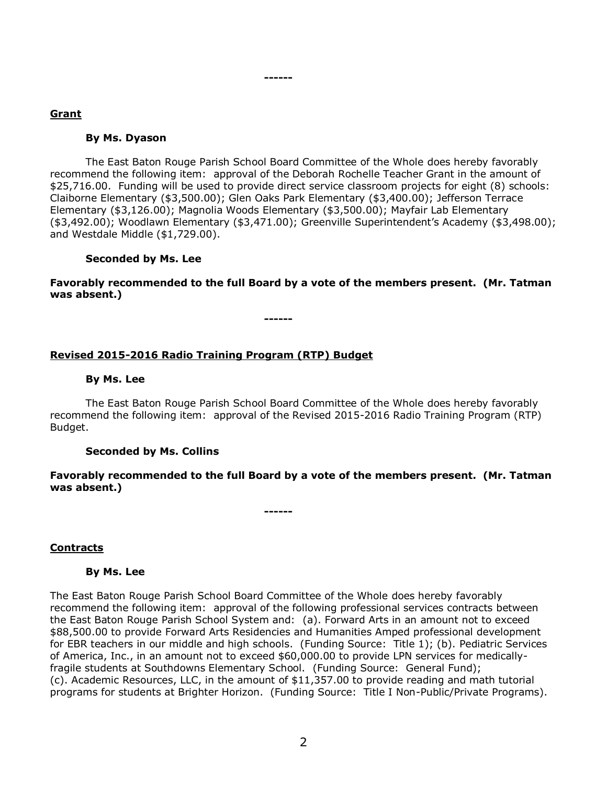# **Grant**

## **By Ms. Dyason**

The East Baton Rouge Parish School Board Committee of the Whole does hereby favorably recommend the following item: approval of the Deborah Rochelle Teacher Grant in the amount of \$25,716.00. Funding will be used to provide direct service classroom projects for eight (8) schools: Claiborne Elementary (\$3,500.00); Glen Oaks Park Elementary (\$3,400.00); Jefferson Terrace Elementary (\$3,126.00); Magnolia Woods Elementary (\$3,500.00); Mayfair Lab Elementary (\$3,492.00); Woodlawn Elementary (\$3,471.00); Greenville Superintendent's Academy (\$3,498.00); and Westdale Middle (\$1,729.00).

# **Seconded by Ms. Lee**

**Favorably recommended to the full Board by a vote of the members present. (Mr. Tatman was absent.)**

**------**

**------**

# **Revised 2015-2016 Radio Training Program (RTP) Budget**

# **By Ms. Lee**

The East Baton Rouge Parish School Board Committee of the Whole does hereby favorably recommend the following item: approval of the Revised 2015-2016 Radio Training Program (RTP) Budget.

## **Seconded by Ms. Collins**

**Favorably recommended to the full Board by a vote of the members present. (Mr. Tatman was absent.)**

**------**

# **Contracts**

## **By Ms. Lee**

The East Baton Rouge Parish School Board Committee of the Whole does hereby favorably recommend the following item: approval of the following professional services contracts between the East Baton Rouge Parish School System and: (a). Forward Arts in an amount not to exceed \$88,500.00 to provide Forward Arts Residencies and Humanities Amped professional development for EBR teachers in our middle and high schools. (Funding Source: Title 1); (b). Pediatric Services of America, Inc., in an amount not to exceed \$60,000.00 to provide LPN services for medicallyfragile students at Southdowns Elementary School. (Funding Source: General Fund); (c). Academic Resources, LLC, in the amount of \$11,357.00 to provide reading and math tutorial programs for students at Brighter Horizon. (Funding Source: Title I Non-Public/Private Programs).